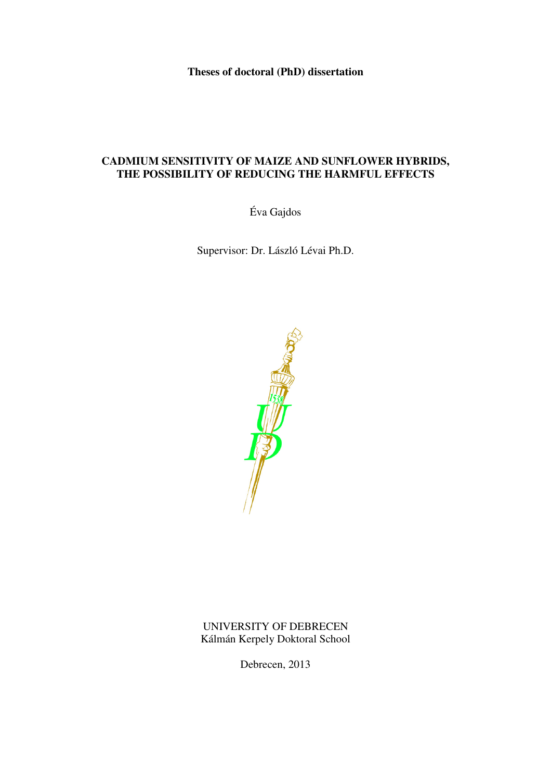**Theses of doctoral (PhD) dissertation** 

# **CADMIUM SENSITIVITY OF MAIZE AND SUNFLOWER HYBRIDS, THE POSSIBILITY OF REDUCING THE HARMFUL EFFECTS**

Éva Gajdos

Supervisor: Dr. László Lévai Ph.D.



UNIVERSITY OF DEBRECEN Kálmán Kerpely Doktoral School

Debrecen, 2013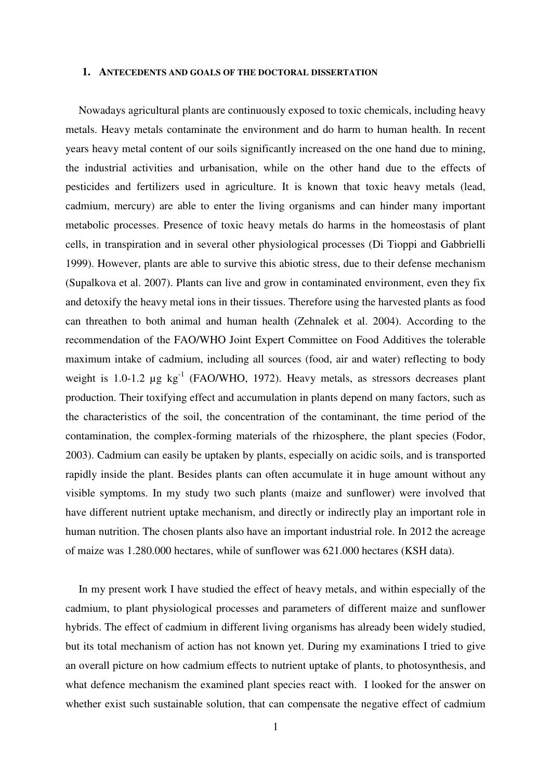#### **1. ANTECEDENTS AND GOALS OF THE DOCTORAL DISSERTATION**

Nowadays agricultural plants are continuously exposed to toxic chemicals, including heavy metals. Heavy metals contaminate the environment and do harm to human health. In recent years heavy metal content of our soils significantly increased on the one hand due to mining, the industrial activities and urbanisation, while on the other hand due to the effects of pesticides and fertilizers used in agriculture. It is known that toxic heavy metals (lead, cadmium, mercury) are able to enter the living organisms and can hinder many important metabolic processes. Presence of toxic heavy metals do harms in the homeostasis of plant cells, in transpiration and in several other physiological processes (Di Tioppi and Gabbrielli 1999). However, plants are able to survive this abiotic stress, due to their defense mechanism (Supalkova et al. 2007). Plants can live and grow in contaminated environment, even they fix and detoxify the heavy metal ions in their tissues. Therefore using the harvested plants as food can threathen to both animal and human health (Zehnalek et al. 2004). According to the recommendation of the FAO/WHO Joint Expert Committee on Food Additives the tolerable maximum intake of cadmium, including all sources (food, air and water) reflecting to body weight is  $1.0\n-1.2$   $\mu$ g kg<sup>-1</sup> (FAO/WHO, 1972). Heavy metals, as stressors decreases plant production. Their toxifying effect and accumulation in plants depend on many factors, such as the characteristics of the soil, the concentration of the contaminant, the time period of the contamination, the complex-forming materials of the rhizosphere, the plant species (Fodor, 2003). Cadmium can easily be uptaken by plants, especially on acidic soils, and is transported rapidly inside the plant. Besides plants can often accumulate it in huge amount without any visible symptoms. In my study two such plants (maize and sunflower) were involved that have different nutrient uptake mechanism, and directly or indirectly play an important role in human nutrition. The chosen plants also have an important industrial role. In 2012 the acreage of maize was 1.280.000 hectares, while of sunflower was 621.000 hectares (KSH data).

In my present work I have studied the effect of heavy metals, and within especially of the cadmium, to plant physiological processes and parameters of different maize and sunflower hybrids. The effect of cadmium in different living organisms has already been widely studied, but its total mechanism of action has not known yet. During my examinations I tried to give an overall picture on how cadmium effects to nutrient uptake of plants, to photosynthesis, and what defence mechanism the examined plant species react with. I looked for the answer on whether exist such sustainable solution, that can compensate the negative effect of cadmium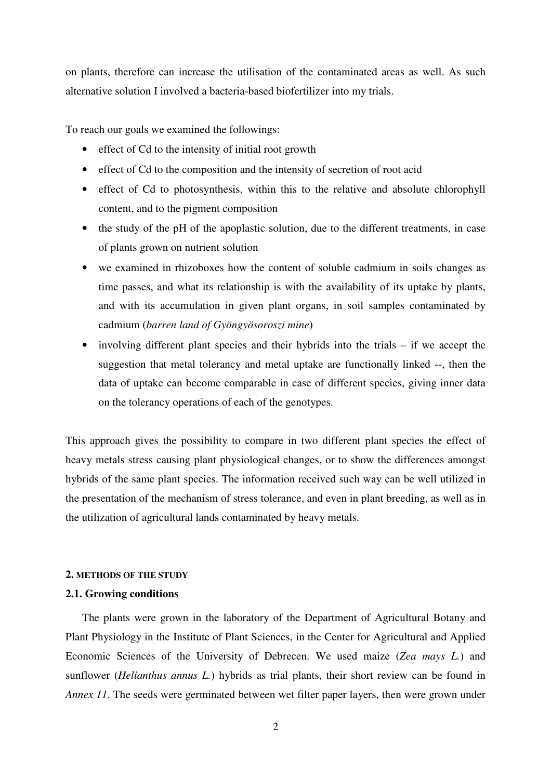on plants, therefore can increase the utilisation of the contaminated areas as well. As such alternative solution I involved a bacteria-based biofertilizer into my trials.

To reach our goals we examined the followings:

- effect of Cd to the intensity of initial root growth
- effect of Cd to the composition and the intensity of secretion of root acid
- effect of Cd to photosynthesis, within this to the relative and absolute chlorophyll content, and to the pigment composition
- the study of the pH of the apoplastic solution, due to the different treatments, in case of plants grown on nutrient solution
- we examined in rhizoboxes how the content of soluble cadmium in soils changes as time passes, and what its relationship is with the availability of its uptake by plants, and with its accumulation in given plant organs, in soil samples contaminated by cadmium (*barren land of Gyöngyösoroszi mine*)
- involving different plant species and their hybrids into the trials if we accept the suggestion that metal tolerancy and metal uptake are functionally linked --, then the data of uptake can become comparable in case of different species, giving inner data on the tolerancy operations of each of the genotypes.

This approach gives the possibility to compare in two different plant species the effect of heavy metals stress causing plant physiological changes, or to show the differences amongst hybrids of the same plant species. The information received such way can be well utilized in the presentation of the mechanism of stress tolerance, and even in plant breeding, as well as in the utilization of agricultural lands contaminated by heavy metals.

#### **2. METHODS OF THE STUDY**

## **2.1. Growing conditions**

The plants were grown in the laboratory of the Department of Agricultural Botany and Plant Physiology in the Institute of Plant Sciences, in the Center for Agricultural and Applied Economic Sciences of the University of Debrecen. We used maize (*Zea mays L.*) and sunflower (*Helianthus annus L.*) hybrids as trial plants, their short review can be found in *Annex 11*. The seeds were germinated between wet filter paper layers, then were grown under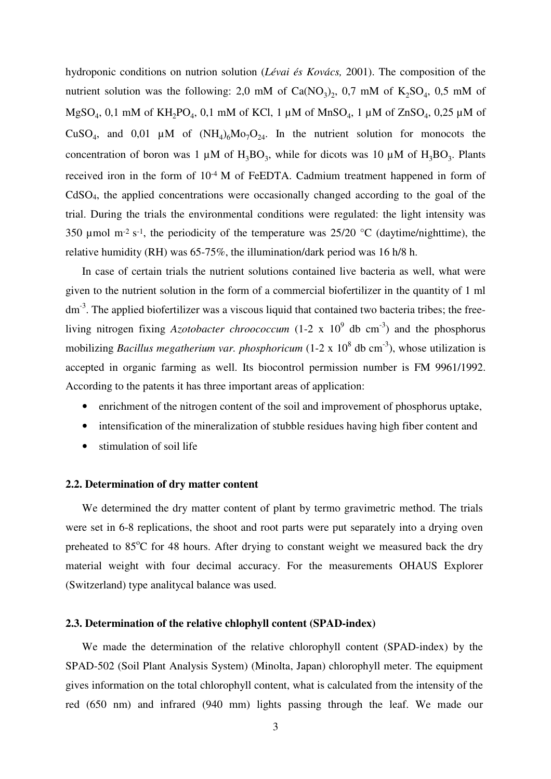hydroponic conditions on nutrion solution (*Lévai és Kovács,* 2001). The composition of the nutrient solution was the following: 2,0 mM of  $Ca(NO<sub>3</sub>)<sub>2</sub>$ , 0,7 mM of  $K<sub>2</sub>SO<sub>4</sub>$ , 0,5 mM of MgSO<sub>4</sub>, 0,1 mM of KH<sub>2</sub>PO<sub>4</sub>, 0,1 mM of KCl, 1 µM of MnSO<sub>4</sub>, 1 µM of ZnSO<sub>4</sub>, 0,25 µM of CuSO<sub>4</sub>, and 0,01 µM of  $(NH_4)_6M_0T_2$ . In the nutrient solution for monocots the concentration of boron was 1  $\mu$ M of H<sub>3</sub>BO<sub>3</sub>, while for dicots was 10  $\mu$ M of H<sub>3</sub>BO<sub>3</sub>. Plants received iron in the form of  $10^{-4}$  M of FeEDTA. Cadmium treatment happened in form of CdSO4, the applied concentrations were occasionally changed according to the goal of the trial. During the trials the environmental conditions were regulated: the light intensity was 350 µmol m<sup>-2</sup> s<sup>-1</sup>, the periodicity of the temperature was  $25/20$  °C (daytime/nighttime), the relative humidity (RH) was 65-75%, the illumination/dark period was 16 h/8 h.

In case of certain trials the nutrient solutions contained live bacteria as well, what were given to the nutrient solution in the form of a commercial biofertilizer in the quantity of 1 ml  $dm<sup>-3</sup>$ . The applied biofertilizer was a viscous liquid that contained two bacteria tribes; the freeliving nitrogen fixing *Azotobacter chroococcum* (1-2 x  $10^9$  db cm<sup>-3</sup>) and the phosphorus mobilizing *Bacillus megatherium var. phosphoricum* (1-2 x 10<sup>8</sup> db cm<sup>-3</sup>), whose utilization is accepted in organic farming as well. Its biocontrol permission number is FM 9961/1992. According to the patents it has three important areas of application:

- enrichment of the nitrogen content of the soil and improvement of phosphorus uptake,
- intensification of the mineralization of stubble residues having high fiber content and
- stimulation of soil life

#### **2.2. Determination of dry matter content**

We determined the dry matter content of plant by termo gravimetric method. The trials were set in 6-8 replications, the shoot and root parts were put separately into a drying oven preheated to  $85^{\circ}$ C for 48 hours. After drying to constant weight we measured back the dry material weight with four decimal accuracy. For the measurements OHAUS Explorer (Switzerland) type analitycal balance was used.

### **2.3. Determination of the relative chlophyll content (SPAD-index)**

We made the determination of the relative chlorophyll content (SPAD-index) by the SPAD-502 (Soil Plant Analysis System) (Minolta, Japan) chlorophyll meter. The equipment gives information on the total chlorophyll content, what is calculated from the intensity of the red (650 nm) and infrared (940 mm) lights passing through the leaf. We made our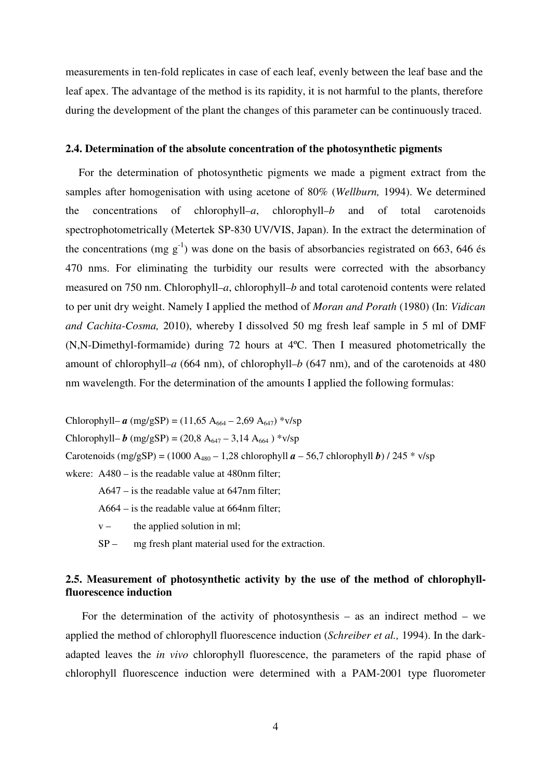measurements in ten-fold replicates in case of each leaf, evenly between the leaf base and the leaf apex. The advantage of the method is its rapidity, it is not harmful to the plants, therefore during the development of the plant the changes of this parameter can be continuously traced.

### **2.4. Determination of the absolute concentration of the photosynthetic pigments**

For the determination of photosynthetic pigments we made a pigment extract from the samples after homogenisation with using acetone of 80% (*Wellburn,* 1994). We determined the concentrations of chlorophyll–*a*, chlorophyll–*b* and of total carotenoids spectrophotometrically (Metertek SP-830 UV/VIS, Japan). In the extract the determination of the concentrations (mg  $g^{-1}$ ) was done on the basis of absorbancies registrated on 663, 646 és 470 nms. For eliminating the turbidity our results were corrected with the absorbancy measured on 750 nm. Chlorophyll–*a*, chlorophyll–*b* and total carotenoid contents were related to per unit dry weight. Namely I applied the method of *Moran and Porath* (1980) (In: *Vidican and Cachita-Cosma,* 2010), whereby I dissolved 50 mg fresh leaf sample in 5 ml of DMF (N,N-Dimethyl-formamide) during 72 hours at 4ºC. Then I measured photometrically the amount of chlorophyll–*a* (664 nm), of chlorophyll–*b* (647 nm), and of the carotenoids at 480 nm wavelength. For the determination of the amounts I applied the following formulas:

Chlorophyll– *a* (mg/gSP) = (11,65 A<sub>664</sub> – 2,69 A<sub>647</sub>) \*v/sp Chlorophyll– *b* (mg/gSP) = (20,8 A<sub>647</sub> – 3,14 A<sub>664</sub>) \*v/sp Carotenoids (mg/gSP) = (1000 A<sub>480</sub> – 1,28 chlorophyll  $a$  – 56,7 chlorophyll *b*) / 245 \* v/sp wkere: A480 – is the readable value at 480nm filter;

A647 – is the readable value at 647nm filter;

- A664 is the readable value at 664nm filter;
- $v -$  the applied solution in ml;
- SP mg fresh plant material used for the extraction.

# **2.5. Measurement of photosynthetic activity by the use of the method of chlorophyllfluorescence induction**

For the determination of the activity of photosynthesis – as an indirect method – we applied the method of chlorophyll fluorescence induction (*Schreiber et al.,* 1994). In the darkadapted leaves the *in vivo* chlorophyll fluorescence, the parameters of the rapid phase of chlorophyll fluorescence induction were determined with a PAM-2001 type fluorometer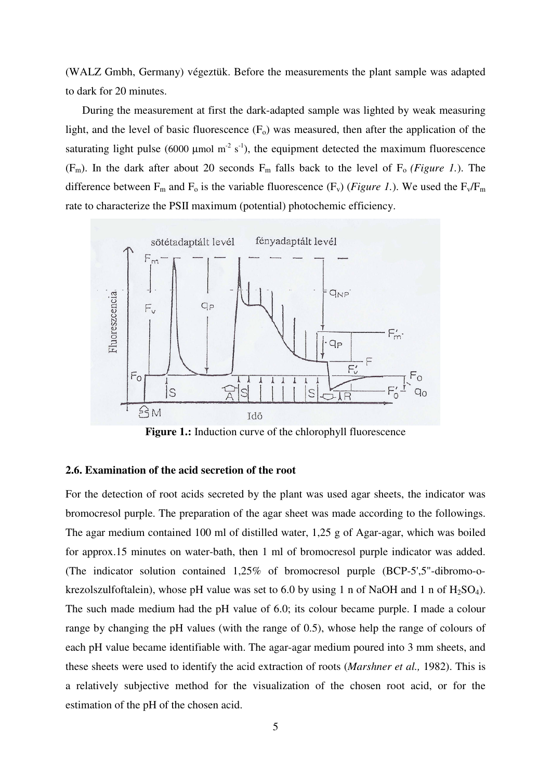(WALZ Gmbh, Germany) végeztük. Before the measurements the plant sample was adapted to dark for 20 minutes.

During the measurement at first the dark-adapted sample was lighted by weak measuring light, and the level of basic fluorescence  $(F_0)$  was measured, then after the application of the saturating light pulse (6000 µmol m<sup>-2</sup> s<sup>-1</sup>), the equipment detected the maximum fluorescence (F<sub>m</sub>). In the dark after about 20 seconds  $F_m$  falls back to the level of  $F_o$  *(Figure 1.).* The difference between  $F_m$  and  $F_o$  is the variable fluorescence ( $F_v$ ) (*Figure 1*.). We used the  $F_v/F_m$ rate to characterize the PSII maximum (potential) photochemic efficiency.



**Figure 1.:** Induction curve of the chlorophyll fluorescence

## **2.6. Examination of the acid secretion of the root**

For the detection of root acids secreted by the plant was used agar sheets, the indicator was bromocresol purple. The preparation of the agar sheet was made according to the followings. The agar medium contained 100 ml of distilled water, 1,25 g of Agar-agar, which was boiled for approx.15 minutes on water-bath, then 1 ml of bromocresol purple indicator was added. (The indicator solution contained 1,25% of bromocresol purple (BCP-5',5"-dibromo-okrezolszulfoftalein), whose pH value was set to 6.0 by using 1 n of NaOH and 1 n of  $H_2SO_4$ ). The such made medium had the pH value of 6.0; its colour became purple. I made a colour range by changing the pH values (with the range of 0.5), whose help the range of colours of each pH value became identifiable with. The agar-agar medium poured into 3 mm sheets, and these sheets were used to identify the acid extraction of roots (*Marshner et al.,* 1982). This is a relatively subjective method for the visualization of the chosen root acid, or for the estimation of the pH of the chosen acid.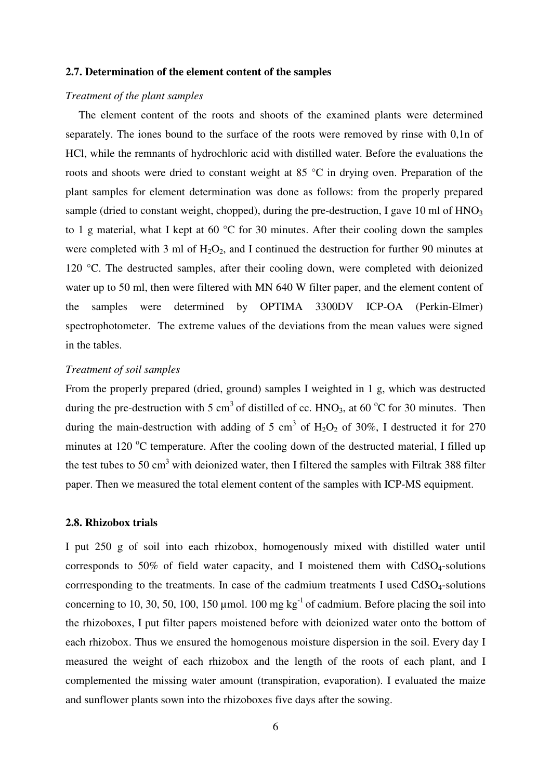### **2.7. Determination of the element content of the samples**

### *Treatment of the plant samples*

The element content of the roots and shoots of the examined plants were determined separately. The iones bound to the surface of the roots were removed by rinse with 0,1n of HCl, while the remnants of hydrochloric acid with distilled water. Before the evaluations the roots and shoots were dried to constant weight at 85 °C in drying oven. Preparation of the plant samples for element determination was done as follows: from the properly prepared sample (dried to constant weight, chopped), during the pre-destruction, I gave 10 ml of  $HNO<sub>3</sub>$ to 1 g material, what I kept at 60 °C for 30 minutes. After their cooling down the samples were completed with 3 ml of  $H_2O_2$ , and I continued the destruction for further 90 minutes at 120 °C. The destructed samples, after their cooling down, were completed with deionized water up to 50 ml, then were filtered with MN 640 W filter paper, and the element content of the samples were determined by OPTIMA 3300DV ICP-OA (Perkin-Elmer) spectrophotometer. The extreme values of the deviations from the mean values were signed in the tables.

## *Treatment of soil samples*

From the properly prepared (dried, ground) samples I weighted in 1 g, which was destructed during the pre-destruction with 5 cm<sup>3</sup> of distilled of cc. HNO<sub>3</sub>, at 60  $^{\circ}$ C for 30 minutes. Then during the main-destruction with adding of 5 cm<sup>3</sup> of  $H_2O_2$  of 30%, I destructed it for 270 minutes at 120  $^{\circ}$ C temperature. After the cooling down of the destructed material, I filled up the test tubes to 50 cm<sup>3</sup> with deionized water, then I filtered the samples with Filtrak 388 filter paper. Then we measured the total element content of the samples with ICP-MS equipment.

## **2.8. Rhizobox trials**

I put 250 g of soil into each rhizobox, homogenously mixed with distilled water until corresponds to 50% of field water capacity, and I moistened them with  $CdSO<sub>4</sub>$ -solutions corrresponding to the treatments. In case of the cadmium treatments I used CdSO<sub>4</sub>-solutions concerning to 10, 30, 50, 100, 150 µmol. 100 mg  $kg^{-1}$  of cadmium. Before placing the soil into the rhizoboxes, I put filter papers moistened before with deionized water onto the bottom of each rhizobox. Thus we ensured the homogenous moisture dispersion in the soil. Every day I measured the weight of each rhizobox and the length of the roots of each plant, and I complemented the missing water amount (transpiration, evaporation). I evaluated the maize and sunflower plants sown into the rhizoboxes five days after the sowing.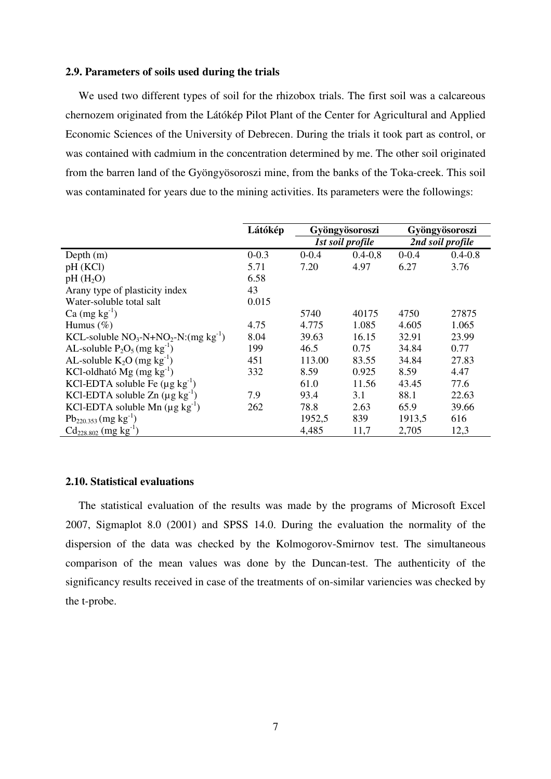### **2.9. Parameters of soils used during the trials**

We used two different types of soil for the rhizobox trials. The first soil was a calcareous chernozem originated from the Látókép Pilot Plant of the Center for Agricultural and Applied Economic Sciences of the University of Debrecen. During the trials it took part as control, or was contained with cadmium in the concentration determined by me. The other soil originated from the barren land of the Gyöngyösoroszi mine, from the banks of the Toka-creek. This soil was contaminated for years due to the mining activities. Its parameters were the followings:

|                                            | Látókép   |           | Gyöngyösoroszi          | Gyöngyösoroszi   |             |
|--------------------------------------------|-----------|-----------|-------------------------|------------------|-------------|
|                                            |           |           | <b>1st soil profile</b> | 2nd soil profile |             |
| Depth $(m)$                                | $0 - 0.3$ | $0 - 0.4$ | $0.4 - 0.8$             | $0 - 0.4$        | $0.4 - 0.8$ |
| pH(KCl)                                    | 5.71      | 7.20      | 4.97                    | 6.27             | 3.76        |
| $pH(H_2O)$                                 | 6.58      |           |                         |                  |             |
| Arany type of plasticity index             | 43        |           |                         |                  |             |
| Water-soluble total salt                   | 0.015     |           |                         |                  |             |
| $Ca$ (mg kg <sup>-1</sup> )                |           | 5740      | 40175                   | 4750             | 27875       |
| Humus $(\%)$                               | 4.75      | 4.775     | 1.085                   | 4.605            | 1.065       |
| KCL-soluble $NO_3-N+NO_2-N:(mg kg^{-1})$   | 8.04      | 39.63     | 16.15                   | 32.91            | 23.99       |
| AL-soluble $P_2O_5$ (mg kg <sup>-1</sup> ) | 199       | 46.5      | 0.75                    | 34.84            | 0.77        |
| AL-soluble $K_2O$ (mg $kg^{-1}$ )          | 451       | 113.00    | 83.55                   | 34.84            | 27.83       |
| KCl-oldható Mg (mg $kg^{-1}$ )             | 332       | 8.59      | 0.925                   | 8.59             | 4.47        |
| KCl-EDTA soluble Fe $(\mu g kg^{-1})$      |           | 61.0      | 11.56                   | 43.45            | 77.6        |
| KCl-EDTA soluble $Zn (\mu g kg^{-1})$      | 7.9       | 93.4      | 3.1                     | 88.1             | 22.63       |
| KCl-EDTA soluble Mn $(\mu g kg^{-1})$      | 262       | 78.8      | 2.63                    | 65.9             | 39.66       |
| $Pb_{220.353}$ (mg kg <sup>-1</sup> )      |           | 1952,5    | 839                     | 1913,5           | 616         |
| $Cd_{228.802}$ (mg kg <sup>-1</sup> )      |           | 4,485     | 11,7                    | 2,705            | 12,3        |

# **2.10. Statistical evaluations**

The statistical evaluation of the results was made by the programs of Microsoft Excel 2007, Sigmaplot 8.0 (2001) and SPSS 14.0. During the evaluation the normality of the dispersion of the data was checked by the Kolmogorov-Smirnov test. The simultaneous comparison of the mean values was done by the Duncan-test. The authenticity of the significancy results received in case of the treatments of on-similar variencies was checked by the t-probe.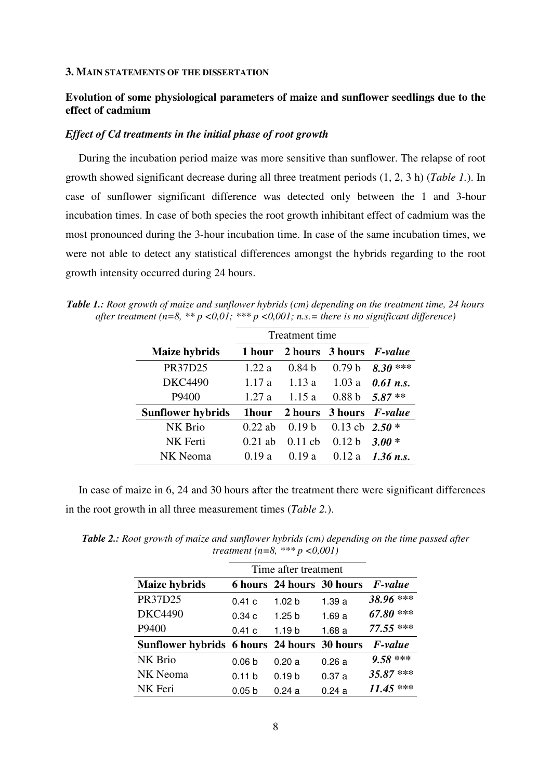#### **3. MAIN STATEMENTS OF THE DISSERTATION**

# **Evolution of some physiological parameters of maize and sunflower seedlings due to the effect of cadmium**

### *Effect of Cd treatments in the initial phase of root growth*

During the incubation period maize was more sensitive than sunflower. The relapse of root growth showed significant decrease during all three treatment periods (1, 2, 3 h) (*Table 1.*). In case of sunflower significant difference was detected only between the 1 and 3-hour incubation times. In case of both species the root growth inhibitant effect of cadmium was the most pronounced during the 3-hour incubation time. In case of the same incubation times, we were not able to detect any statistical differences amongst the hybrids regarding to the root growth intensity occurred during 24 hours.

*Table 1.: Root growth of maize and sunflower hybrids (cm) depending on the treatment time, 24 hours after treatment (n=8, \*\* p <0,01; \*\*\* p <0,001; n.s.= there is no significant difference)* 

|                          | Treatment time |                   |                                |                        |
|--------------------------|----------------|-------------------|--------------------------------|------------------------|
| <b>Maize hybrids</b>     | 1 hour         |                   | 2 hours 3 hours <i>F-value</i> |                        |
| PR37D25                  | 1.22a          | 0.84 <sub>b</sub> | 0.79 <sub>b</sub>              | ***<br>8.30            |
| <b>DKC4490</b>           | 1.17a          | 1.13a             | 1.03a                          | $0.61$ n.s.            |
| P9400                    | 1.27a          | 1.15a             | 0.88 <sub>b</sub>              | $5.87**$               |
| <b>Sunflower hybrids</b> | 1hour          | 2 hours           |                                | 3 hours <i>F-value</i> |
| NK Brio                  | $0.22$ ab      | 0.19 <sub>b</sub> | 0.13 cb $2.50*$                |                        |
| NK Ferti                 | $0.21$ ab      | $0.11$ ch         | 0.12 <sub>b</sub>              | $3.00*$                |
| NK Neoma                 | 0.19a          | 0.19a             | 0.12a                          | $1.36$ n.s.            |

In case of maize in 6, 24 and 30 hours after the treatment there were significant differences in the root growth in all three measurement times (*Table 2.*).

| <b>Table 2.:</b> Root growth of maize and sunflower hybrids (cm) depending on the time passed after | treatment (n=8, *** $p < 0.001$ ) |  |
|-----------------------------------------------------------------------------------------------------|-----------------------------------|--|
|                                                                                                     | Time after treatment              |  |

|                                             | Time after treatment |                           |        |             |  |  |
|---------------------------------------------|----------------------|---------------------------|--------|-------------|--|--|
| <b>Maize hybrids</b>                        |                      | 6 hours 24 hours 30 hours |        | F-value     |  |  |
| PR37D25                                     | 0.41c                | 1.02 <sub>b</sub>         | 1.39 a | 38.96 ***   |  |  |
| <b>DKC4490</b>                              | 0.34c                | 1.25 <sub>b</sub>         | 1.69a  | $67.80$ *** |  |  |
| P9400                                       | 0.41c                | 1.19 b                    | 1.68a  | 77.55 ***   |  |  |
| Sunflower hybrids 6 hours 24 hours 30 hours |                      |                           |        | F-value     |  |  |
| NK Brio                                     | 0.06 <sub>b</sub>    | 0.20a                     | 0.26a  | $9.58$ ***  |  |  |
| NK Neoma                                    | 0.11 b               | 0.19 <sub>b</sub>         | 0.37a  | 35.87***    |  |  |
| NK Feri                                     | 0.05 <sub>b</sub>    | 0.24a                     | 0.24a  | $11.45***$  |  |  |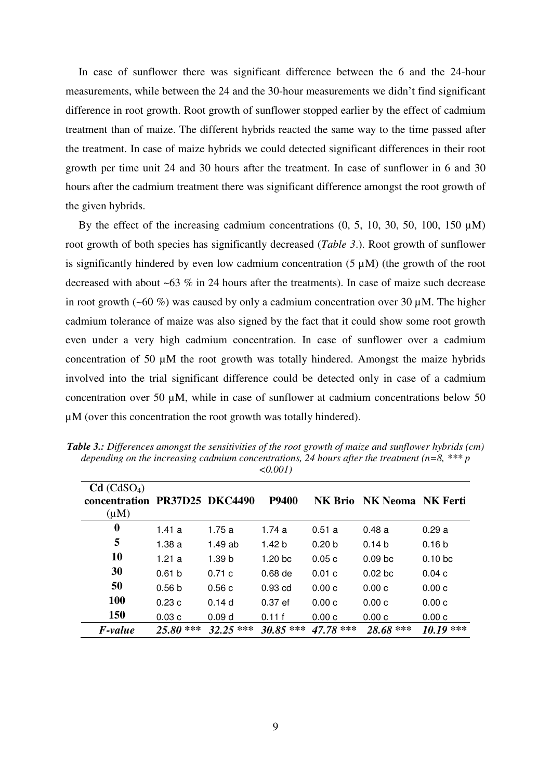In case of sunflower there was significant difference between the 6 and the 24-hour measurements, while between the 24 and the 30-hour measurements we didn't find significant difference in root growth. Root growth of sunflower stopped earlier by the effect of cadmium treatment than of maize. The different hybrids reacted the same way to the time passed after the treatment. In case of maize hybrids we could detected significant differences in their root growth per time unit 24 and 30 hours after the treatment. In case of sunflower in 6 and 30 hours after the cadmium treatment there was significant difference amongst the root growth of the given hybrids.

By the effect of the increasing cadmium concentrations  $(0, 5, 10, 30, 50, 100, 150 \mu M)$ root growth of both species has significantly decreased (*Table 3*.). Root growth of sunflower is significantly hindered by even low cadmium concentration  $(5 \mu M)$  (the growth of the root decreased with about ~63 % in 24 hours after the treatments). In case of maize such decrease in root growth (~60 %) was caused by only a cadmium concentration over 30  $\mu$ M. The higher cadmium tolerance of maize was also signed by the fact that it could show some root growth even under a very high cadmium concentration. In case of sunflower over a cadmium concentration of 50 µM the root growth was totally hindered. Amongst the maize hybrids involved into the trial significant difference could be detected only in case of a cadmium concentration over 50 µM, while in case of sunflower at cadmium concentrations below 50  $\mu$ M (over this concentration the root growth was totally hindered).

|                                                                       |                   |                   | $\sim$ 0.001)      |                   |                           |                    |
|-----------------------------------------------------------------------|-------------------|-------------------|--------------------|-------------------|---------------------------|--------------------|
| Cd (CdSO <sub>4</sub> )<br>concentration PR37D25 DKC4490<br>$(\mu M)$ |                   |                   | <b>P9400</b>       |                   | NK Brio NK Neoma NK Ferti |                    |
| 0                                                                     | 1.41 $a$          | 1.75a             | 1.74 a             | 0.51a             | 0.48a                     | 0.29a              |
| 5                                                                     | 1.38 a            | 1.49 ab           | 1.42 <sub>b</sub>  | 0.20 <sub>b</sub> | 0.14 b                    | 0.16 <sub>b</sub>  |
| <b>10</b>                                                             | 1.21a             | 1.39 <sub>b</sub> | 1.20 <sub>bc</sub> | 0.05c             | 0.09 <sub>bc</sub>        | 0.10 <sub>bc</sub> |
| 30                                                                    | 0.61 <sub>b</sub> | 0.71c             | $0.68$ de          | 0.01c             | 0.02 <sub>bc</sub>        | 0.04c              |
| 50                                                                    | 0.56 <sub>b</sub> | 0.56c             | $0.93$ cd          | 0.00c             | 0.00c                     | 0.00c              |
| <b>100</b>                                                            | 0.23c             | 0.14d             | $0.37$ ef          | 0.00c             | 0.00c                     | 0.00c              |
| <b>150</b>                                                            | 0.03c             | 0.09 <sub>d</sub> | 0.11f              | 0.00c             | 0.00c                     | 0.00c              |
| F-value                                                               | $25.80$ ***       | $32.25$ ***       | $30.85$ ***        | $47.78$ ***       | 28.68 ***                 | $10.19***$         |

*Table 3.: Differences amongst the sensitivities of the root growth of maize and sunflower hybrids (cm) depending on the increasing cadmium concentrations, 24 hours after the treatment (n=8, \*\*\* p <0.001)*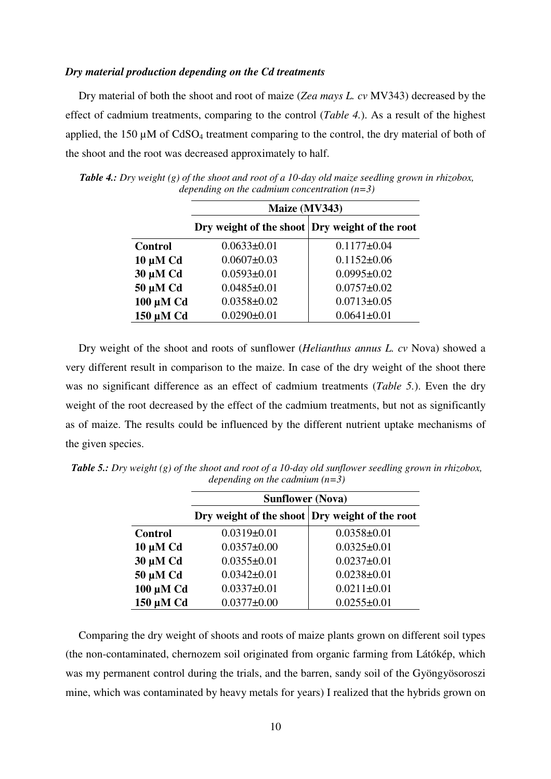#### *Dry material production depending on the Cd treatments*

Dry material of both the shoot and root of maize (*Zea mays L. cv* MV343) decreased by the effect of cadmium treatments, comparing to the control (*Table 4.*). As a result of the highest applied, the 150  $\mu$ M of CdSO<sub>4</sub> treatment comparing to the control, the dry material of both of the shoot and the root was decreased approximately to half.

|                | Maize (MV343)                                  |                   |  |  |  |
|----------------|------------------------------------------------|-------------------|--|--|--|
|                | Dry weight of the shoot Dry weight of the root |                   |  |  |  |
| <b>Control</b> | $0.0633 \pm 0.01$                              | $0.1177 \pm 0.04$ |  |  |  |
| $10 \mu M$ Cd  | $0.0607 \pm 0.03$                              | $0.1152 \pm 0.06$ |  |  |  |
| 30 µM Cd       | $0.0593 \pm 0.01$                              | $0.0995 \pm 0.02$ |  |  |  |
| 50 µM Cd       | $0.0485 \pm 0.01$                              | $0.0757 \pm 0.02$ |  |  |  |
| 100 µM Cd      | $0.0358 \pm 0.02$                              | $0.0713 \pm 0.05$ |  |  |  |
| 150 µM Cd      | $0.0290 \pm 0.01$                              | $0.0641 \pm 0.01$ |  |  |  |

*Table 4.: Dry weight (g) of the shoot and root of a 10-day old maize seedling grown in rhizobox, depending on the cadmium concentration (n=3)* 

Dry weight of the shoot and roots of sunflower (*Helianthus annus L. cv* Nova) showed a very different result in comparison to the maize. In case of the dry weight of the shoot there was no significant difference as an effect of cadmium treatments (*Table 5.*). Even the dry weight of the root decreased by the effect of the cadmium treatments, but not as significantly as of maize. The results could be influenced by the different nutrient uptake mechanisms of the given species.

|                | <b>Sunflower (Nova)</b>                        |                   |  |  |  |
|----------------|------------------------------------------------|-------------------|--|--|--|
|                | Dry weight of the shoot Dry weight of the root |                   |  |  |  |
| <b>Control</b> | $0.0319 \pm 0.01$                              | $0.0358 \pm 0.01$ |  |  |  |
| $10 \mu M$ Cd  | $0.0357 \pm 0.00$                              | $0.0325 \pm 0.01$ |  |  |  |
| 30 µM Cd       | $0.0355 \pm 0.01$                              | $0.0237 \pm 0.01$ |  |  |  |
| 50 µM Cd       | $0.0342 \pm 0.01$                              | $0.0238 \pm 0.01$ |  |  |  |
| 100 µM Cd      | $0.0337 \pm 0.01$                              | $0.0211 \pm 0.01$ |  |  |  |
| 150 µM Cd      | $0.0377 \pm 0.00$                              | $0.0255 \pm 0.01$ |  |  |  |

*Table 5.: Dry weight (g) of the shoot and root of a 10-day old sunflower seedling grown in rhizobox, depending on the cadmium (n=3)* 

Comparing the dry weight of shoots and roots of maize plants grown on different soil types (the non-contaminated, chernozem soil originated from organic farming from Látókép, which was my permanent control during the trials, and the barren, sandy soil of the Gyöngyösoroszi mine, which was contaminated by heavy metals for years) I realized that the hybrids grown on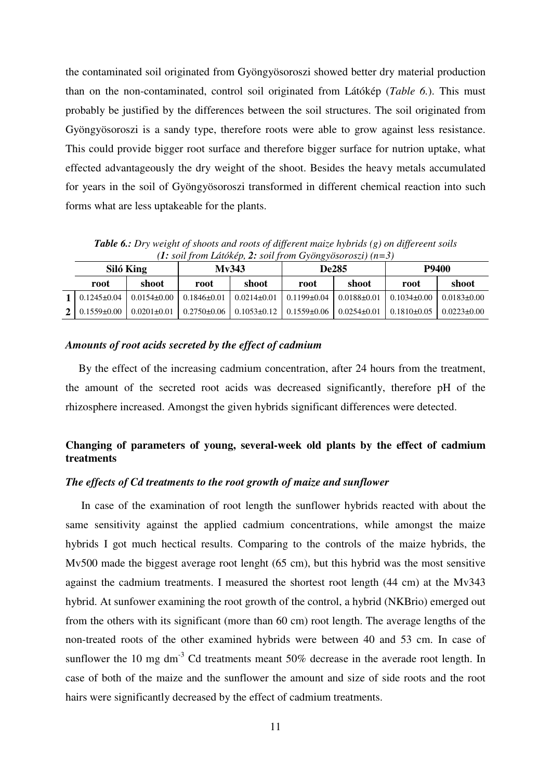the contaminated soil originated from Gyöngyösoroszi showed better dry material production than on the non-contaminated, control soil originated from Látókép (*Table 6.*). This must probably be justified by the differences between the soil structures. The soil originated from Gyöngyösoroszi is a sandy type, therefore roots were able to grow against less resistance. This could provide bigger root surface and therefore bigger surface for nutrion uptake, what effected advantageously the dry weight of the shoot. Besides the heavy metals accumulated for years in the soil of Gyöngyösoroszi transformed in different chemical reaction into such forms what are less uptakeable for the plants.

**Siló King Mv343 De285 P9400 root shoot root shoot root shoot root shoot 1** 0.1245±0.04 0.0154±0.00 0.1846±0.01 0.0214±0.01 0.1199±0.04 0.0188±0.01 0.1034±0.00 0.0183±0.00 **2** 0.1559±0.00 0.0201±0.01 0.2750±0.06 0.1053±0.12 0.1559±0.06 0.0254±0.01 0.1810±0.05 0.0223±0.00

*Table 6.: Dry weight of shoots and roots of different maize hybrids (g) on differeent soils (1: soil from Látókép, 2: soil from Gyöngyösoroszi) (n=3)* 

#### *Amounts of root acids secreted by the effect of cadmium*

By the effect of the increasing cadmium concentration, after 24 hours from the treatment, the amount of the secreted root acids was decreased significantly, therefore pH of the rhizosphere increased. Amongst the given hybrids significant differences were detected.

# **Changing of parameters of young, several-week old plants by the effect of cadmium treatments**

# *The effects of Cd treatments to the root growth of maize and sunflower*

In case of the examination of root length the sunflower hybrids reacted with about the same sensitivity against the applied cadmium concentrations, while amongst the maize hybrids I got much hectical results. Comparing to the controls of the maize hybrids, the Mv500 made the biggest average root lenght (65 cm), but this hybrid was the most sensitive against the cadmium treatments. I measured the shortest root length (44 cm) at the Mv343 hybrid. At sunfower examining the root growth of the control, a hybrid (NKBrio) emerged out from the others with its significant (more than 60 cm) root length. The average lengths of the non-treated roots of the other examined hybrids were between 40 and 53 cm. In case of sunflower the 10 mg dm<sup>-3</sup> Cd treatments meant  $50\%$  decrease in the averade root length. In case of both of the maize and the sunflower the amount and size of side roots and the root hairs were significantly decreased by the effect of cadmium treatments.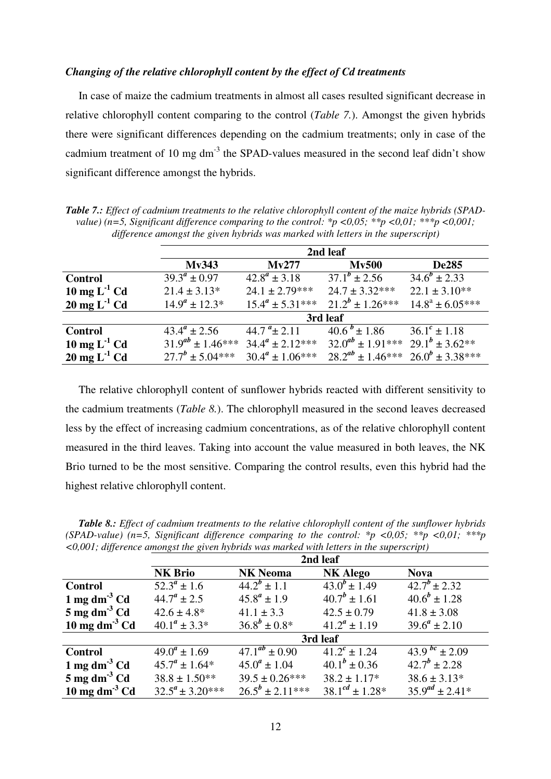## *Changing of the relative chlorophyll content by the effect of Cd treatments*

In case of maize the cadmium treatments in almost all cases resulted significant decrease in relative chlorophyll content comparing to the control (*Table 7.*). Amongst the given hybrids there were significant differences depending on the cadmium treatments; only in case of the cadmium treatment of 10 mg dm<sup>-3</sup> the SPAD-values measured in the second leaf didn't show significant difference amongst the hybrids.

*Table 7.: Effect of cadmium treatments to the relative chlorophyll content of the maize hybrids (SPADvalue) (n=5, Significant difference comparing to the control: \*p <0,05; \*\*p <0,01; \*\*\*p <0,001; difference amongst the given hybrids was marked with letters in the superscript)* 

|                                    | 2nd leaf                |                         |                            |                        |  |  |
|------------------------------------|-------------------------|-------------------------|----------------------------|------------------------|--|--|
|                                    | Mv343                   | Mv277                   | <b>Mv500</b>               | <b>De285</b>           |  |  |
| <b>Control</b>                     | $39.3^a \pm 0.97$       | $42.8^a \pm 3.18$       | $37.1^b \pm 2.56$          | $34.6^{b} \pm 2.33$    |  |  |
| $10 \text{ mg } L^{-1}$ Cd         | $21.4 \pm 3.13*$        | $24.1 \pm 2.79***$      | $24.7 \pm 3.32***$         | $22.1 \pm 3.10**$      |  |  |
| $20 \text{ mg } L^{-1} \text{ Cd}$ | $14.9^a \pm 12.3^*$     | $15.4^a \pm 5.31***$    | $21.2^{b} \pm 1.26***$     | $14.8^a \pm 6.05***$   |  |  |
|                                    | 3rd leaf                |                         |                            |                        |  |  |
| <b>Control</b>                     | $43.4^a \pm 2.56$       | 44.7 $a_{\pm}$ 2.11     | $40.6^{b} \pm 1.86$        | $36.1^c \pm 1.18$      |  |  |
| $10 \text{ mg } L^{-1}$ Cd         | $31.9^{ab} \pm 1.46***$ | $34.4^a \pm 2.12^{***}$ | $32.0^{ab} \pm 1.91***$    | $29.1^b \pm 3.62^{**}$ |  |  |
| $20 \text{ mg } L^{-1} \text{ Cd}$ | $27.7^b \pm 5.04***$    | $30.4^a \pm 1.06***$    | $28.2^{ab} \pm 1.46^{***}$ | $26.0^b \pm 3.38***$   |  |  |

The relative chlorophyll content of sunflower hybrids reacted with different sensitivity to the cadmium treatments (*Table 8.*). The chlorophyll measured in the second leaves decreased less by the effect of increasing cadmium concentrations, as of the relative chlorophyll content measured in the third leaves. Taking into account the value measured in both leaves, the NK Brio turned to be the most sensitive. Comparing the control results, even this hybrid had the highest relative chlorophyll content.

| <b>Table 8.:</b> Effect of cadmium treatments to the relative chlorophyll content of the sunflower hybrids |  |
|------------------------------------------------------------------------------------------------------------|--|
| (SPAD-value) (n=5, Significant difference comparing to the control: *p <0,05; **p <0,01; ***p              |  |
| $\langle 0,001,$ difference amongst the given hybrids was marked with letters in the superscript)          |  |

|                               | 2nd leaf                |                                |                              |                          |  |
|-------------------------------|-------------------------|--------------------------------|------------------------------|--------------------------|--|
|                               | <b>NK Brio</b>          | <b>NK Neoma</b>                | <b>NK Alego</b>              | <b>Nova</b>              |  |
| <b>Control</b>                | $52.3^a \pm 1.6$        | $44.2^{b} \pm 1.1$             | $43.0^{b} \pm 1.49$          | $\frac{1}{42.7}$ + 2.32  |  |
| 1 mg dm <sup>-3</sup> Cd      | $44.7^a \pm 2.5$        | $45.8^a \pm 1.9$               | $40.7^{b} \pm 1.61$          | $40.6^{b} \pm 1.28$      |  |
| $5 \text{ mg dm}^3 \text{Cd}$ | $42.6 \pm 4.8^*$        | $41.1 \pm 3.3$                 | $42.5 \pm 0.79$              | $41.8 \pm 3.08$          |  |
| $10 \text{ mg dm}^{-3}$ Cd    | $40.1^a \pm 3.3^*$      | $36.8^{b} \pm 0.8^{*}$         | $41.2^a \pm 1.19$            | $39.6^a \pm 2.10$        |  |
|                               | 3rd leaf                |                                |                              |                          |  |
| <b>Control</b>                | $49.0^a \pm 1.69$       | $\frac{47.1^{ab}}{2} \pm 0.90$ | $\overline{41.2^c \pm 1.24}$ | $\frac{43.9}{b}$ + 2.09  |  |
| 1 mg dm <sup>-3</sup> Cd      | $45.7^a \pm 1.64^*$     | $45.0^a \pm 1.04$              | $40.1^b \pm 0.36$            | $42.7^{b} \pm 2.28$      |  |
| $5 \text{ mg dm}^3 \text{Cd}$ | $38.8 \pm 1.50**$       | $39.5 \pm 0.26***$             | $38.2 \pm 1.17*$             | $38.6 \pm 3.13*$         |  |
| $10 \text{ mg dm}^{-3}$ Cd    | $32.5^a \pm 3.20^{***}$ | $26.5^{b} \pm 2.11***$         | $38.1^{cd} \pm 1.28^{*}$     | $35.9^{ad} \pm 2.41^{*}$ |  |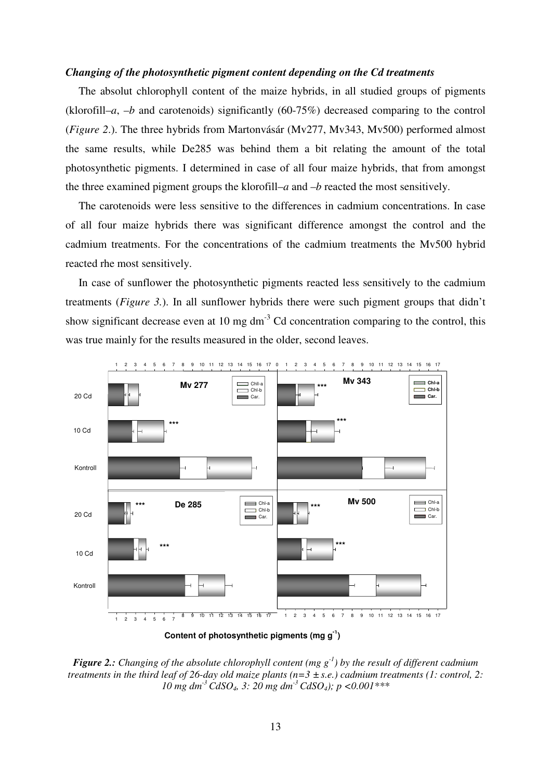### *Changing of the photosynthetic pigment content depending on the Cd treatments*

The absolut chlorophyll content of the maize hybrids, in all studied groups of pigments (klorofill–*a*, –*b* and carotenoids) significantly (60-75%) decreased comparing to the control (*Figure 2*.). The three hybrids from Martonvásár (Mv277, Mv343, Mv500) performed almost the same results, while De285 was behind them a bit relating the amount of the total photosynthetic pigments. I determined in case of all four maize hybrids, that from amongst the three examined pigment groups the klorofill–*a* and –*b* reacted the most sensitively.

The carotenoids were less sensitive to the differences in cadmium concentrations. In case of all four maize hybrids there was significant difference amongst the control and the cadmium treatments. For the concentrations of the cadmium treatments the Mv500 hybrid reacted rhe most sensitively.

In case of sunflower the photosynthetic pigments reacted less sensitively to the cadmium treatments (*Figure 3.*). In all sunflower hybrids there were such pigment groups that didn't show significant decrease even at 10 mg  $dm<sup>-3</sup>$  Cd concentration comparing to the control, this was true mainly for the results measured in the older, second leaves.





*Figure 2.: Changing of the absolute chlorophyll content (mg g-1) by the result of different cadmium treatments in the third leaf of 26-day old maize plants (n=3 ± s.e.) cadmium treatments (1: control, 2: 10 mg dm-3 CdSO4, 3: 20 mg dm-3 CdSO4); p <0.001\*\*\**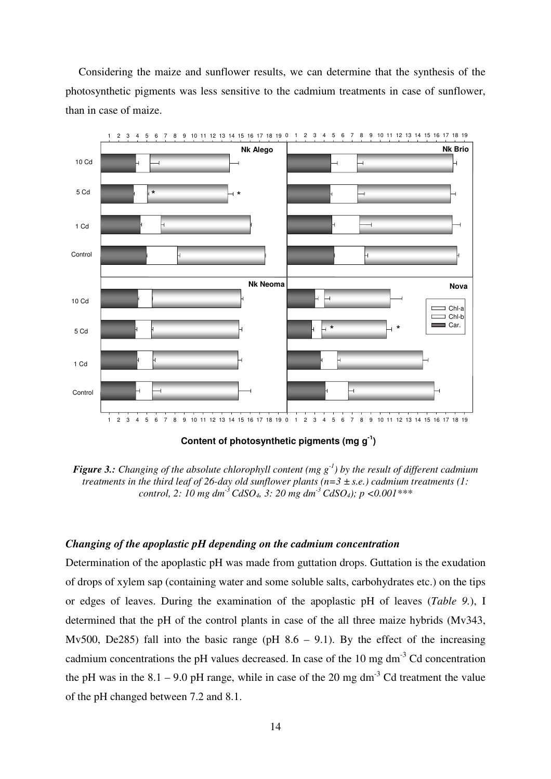Considering the maize and sunflower results, we can determine that the synthesis of the photosynthetic pigments was less sensitive to the cadmium treatments in case of sunflower, than in case of maize.



**Content of photosynthetic pigments (mg g-1 )**



## *Changing of the apoplastic pH depending on the cadmium concentration*

Determination of the apoplastic pH was made from guttation drops. Guttation is the exudation of drops of xylem sap (containing water and some soluble salts, carbohydrates etc.) on the tips or edges of leaves. During the examination of the apoplastic pH of leaves (*Table 9.*), I determined that the pH of the control plants in case of the all three maize hybrids (Mv343, Mv500, De285) fall into the basic range (pH  $8.6 - 9.1$ ). By the effect of the increasing cadmium concentrations the pH values decreased. In case of the  $10 \text{ mg dm}^{-3}$  Cd concentration the pH was in the  $8.1 - 9.0$  pH range, while in case of the 20 mg dm<sup>-3</sup> Cd treatment the value of the pH changed between 7.2 and 8.1.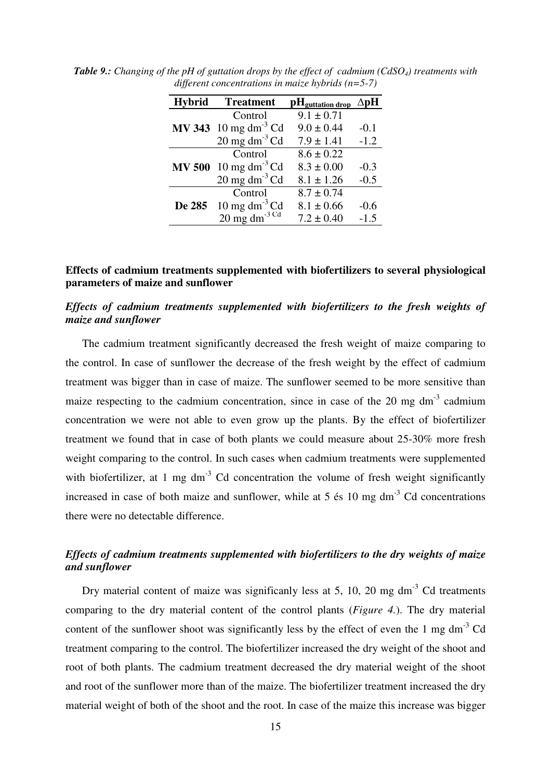| <b>Hybrid</b> | <b>Treatment</b>                      | pH <sub>guttation</sub> drop | $\Delta$ pH |
|---------------|---------------------------------------|------------------------------|-------------|
|               | Control                               | $9.1 \pm 0.71$               |             |
|               | $MV 343$ 10 mg dm <sup>-3</sup> Cd    | $9.0 \pm 0.44$               | $-0.1$      |
|               | $20 \text{ mg dm}^{-3}$ Cd            | $7.9 \pm 1.41$               | $-1.2$      |
|               | Control                               | $8.6 \pm 0.22$               |             |
|               | $MV 500 10 mg dm-3 Cd$                | $8.3 \pm 0.00$               | $-0.3$      |
|               | $20 \text{ mg dm}^{-3}$ Cd            | $8.1 \pm 1.26$               | $-0.5$      |
|               | Control                               | $8.7 \pm 0.74$               |             |
| De 285        | 10 mg dm $^{-3}$ Cd                   | $8.1 \pm 0.66$               | $-0.6$      |
|               | $20 \text{ mg dm}^{-3}$ <sup>Cd</sup> | $7.2 \pm 0.40$               | $-1.5$      |

*Table 9.: Changing of the pH of guttation drops by the effect of cadmium (CdSO4) treatments with different concentrations in maize hybrids (n=5-7)* 

## **Effects of cadmium treatments supplemented with biofertilizers to several physiological parameters of maize and sunflower**

# *Effects of cadmium treatments supplemented with biofertilizers to the fresh weights of maize and sunflower*

The cadmium treatment significantly decreased the fresh weight of maize comparing to the control. In case of sunflower the decrease of the fresh weight by the effect of cadmium treatment was bigger than in case of maize. The sunflower seemed to be more sensitive than maize respecting to the cadmium concentration, since in case of the 20 mg dm<sup>-3</sup> cadmium concentration we were not able to even grow up the plants. By the effect of biofertilizer treatment we found that in case of both plants we could measure about 25-30% more fresh weight comparing to the control. In such cases when cadmium treatments were supplemented with biofertilizer, at 1 mg  $dm^{-3}$  Cd concentration the volume of fresh weight significantly increased in case of both maize and sunflower, while at 5  $\acute{\text{e}}$  s 10 mg dm<sup>-3</sup> Cd concentrations there were no detectable difference.

# *Effects of cadmium treatments supplemented with biofertilizers to the dry weights of maize and sunflower*

Dry material content of maize was significanly less at 5, 10, 20 mg  $\text{dm}^{-3}$  Cd treatments comparing to the dry material content of the control plants (*Figure 4.*). The dry material content of the sunflower shoot was significantly less by the effect of even the 1 mg dm<sup>-3</sup> Cd treatment comparing to the control. The biofertilizer increased the dry weight of the shoot and root of both plants. The cadmium treatment decreased the dry material weight of the shoot and root of the sunflower more than of the maize. The biofertilizer treatment increased the dry material weight of both of the shoot and the root. In case of the maize this increase was bigger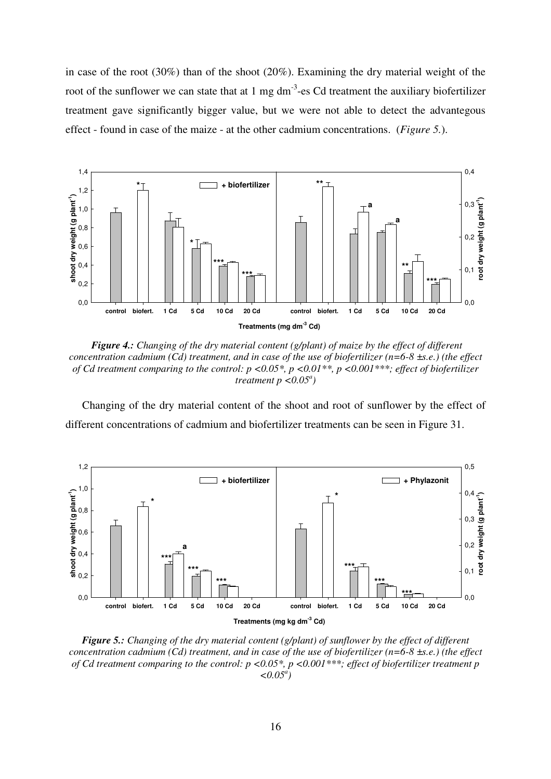in case of the root (30%) than of the shoot (20%). Examining the dry material weight of the root of the sunflower we can state that at  $1 \text{ mg dm}^{-3}$ -es Cd treatment the auxiliary biofertilizer treatment gave significantly bigger value, but we were not able to detect the advantegous effect - found in case of the maize - at the other cadmium concentrations. (*Figure 5.*).



 *Figure 4.: Changing of the dry material content (g/plant) of maize by the effect of different concentration cadmium (Cd) treatment, and in case of the use of biofertilizer (n=6-8 ±s.e.) (the effect of Cd treatment comparing to the control: p <0.05\*, p <0.01\*\*, p <0.001\*\*\*; effect of biofertilizer*   $t$ reatment  $p < 0.05^a$ )

Changing of the dry material content of the shoot and root of sunflower by the effect of different concentrations of cadmium and biofertilizer treatments can be seen in Figure 31.



*Figure 5.: Changing of the dry material content (g/plant) of sunflower by the effect of different concentration cadmium (Cd) treatment, and in case of the use of biofertilizer (n=6-8 ±s.e.) (the effect of Cd treatment comparing to the control: p <0.05\*, p <0.001\*\*\*; effect of biofertilizer treatment p*   $\leq 0.05^a$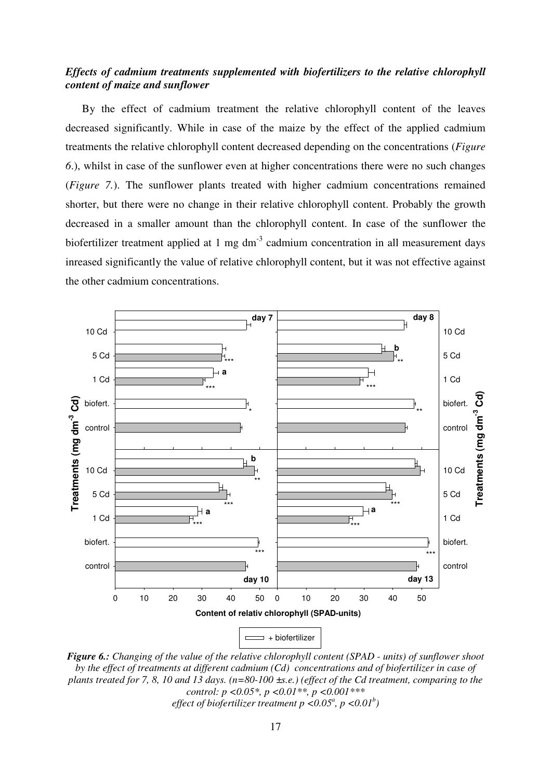# *Effects of cadmium treatments supplemented with biofertilizers to the relative chlorophyll content of maize and sunflower*

By the effect of cadmium treatment the relative chlorophyll content of the leaves decreased significantly. While in case of the maize by the effect of the applied cadmium treatments the relative chlorophyll content decreased depending on the concentrations (*Figure 6*.), whilst in case of the sunflower even at higher concentrations there were no such changes (*Figure 7.*). The sunflower plants treated with higher cadmium concentrations remained shorter, but there were no change in their relative chlorophyll content. Probably the growth decreased in a smaller amount than the chlorophyll content. In case of the sunflower the biofertilizer treatment applied at 1 mg  $dm^{-3}$  cadmium concentration in all measurement days inreased significantly the value of relative chlorophyll content, but it was not effective against the other cadmium concentrations.



*Figure 6.: Changing of the value of the relative chlorophyll content (SPAD - units) of sunflower shoot by the effect of treatments at different cadmium (Cd) concentrations and of biofertilizer in case of plants treated for 7, 8, 10 and 13 days. (n=80-100 ±s.e.) (effect of the Cd treatment, comparing to the control: p <0.05\*, p <0.01\*\*, p <0.001\*\*\* effect of biofertilizer treatment p <0.05<sup><i>a*</sup>, *p <0.01<sup>b</sup>*)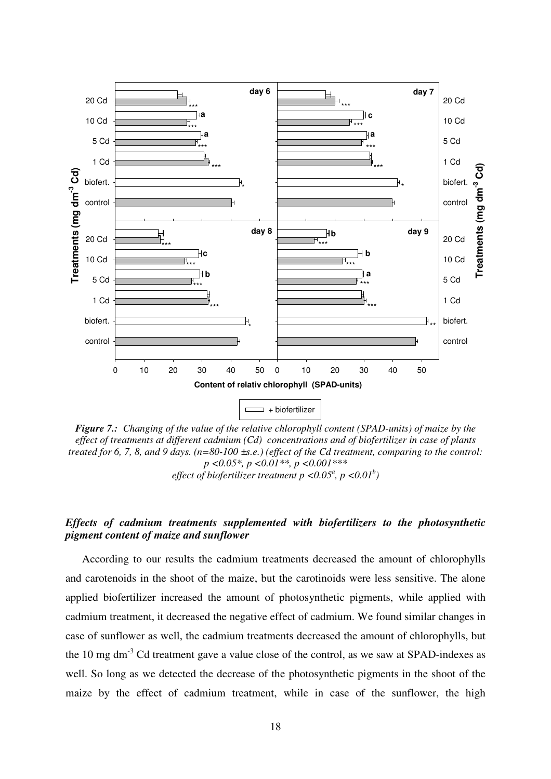

*Figure 7.: Changing of the value of the relative chlorophyll content (SPAD-units) of maize by the effect of treatments at different cadmium (Cd) concentrations and of biofertilizer in case of plants treated for 6, 7, 8, and 9 days. (n=80-100 ±s.e.) (effect of the Cd treatment, comparing to the control: p <0.05\*, p <0.01\*\*, p <0.001\*\*\* effect of biofertilizer treatment p <0.05<sup><i>a*</sup>, *p <0.01<sup>b</sup>*)

# *Effects of cadmium treatments supplemented with biofertilizers to the photosynthetic pigment content of maize and sunflower*

According to our results the cadmium treatments decreased the amount of chlorophylls and carotenoids in the shoot of the maize, but the carotinoids were less sensitive. The alone applied biofertilizer increased the amount of photosynthetic pigments, while applied with cadmium treatment, it decreased the negative effect of cadmium. We found similar changes in case of sunflower as well, the cadmium treatments decreased the amount of chlorophylls, but the 10 mg dm<sup>-3</sup> Cd treatment gave a value close of the control, as we saw at SPAD-indexes as well. So long as we detected the decrease of the photosynthetic pigments in the shoot of the maize by the effect of cadmium treatment, while in case of the sunflower, the high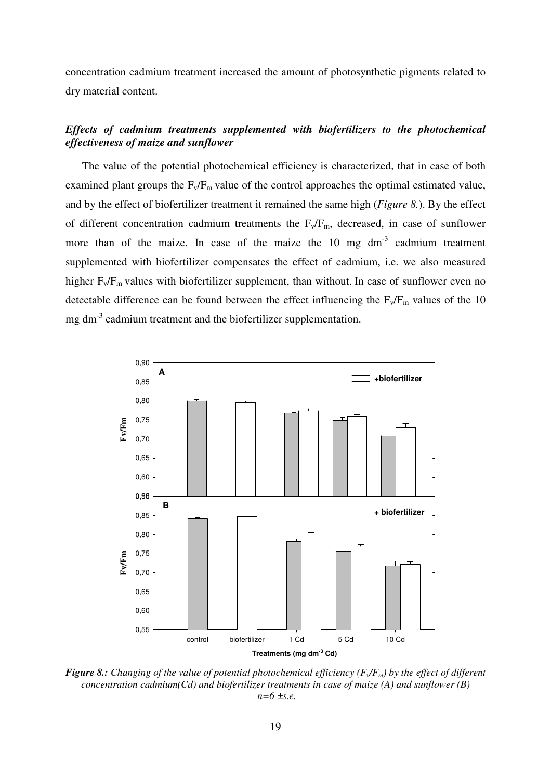concentration cadmium treatment increased the amount of photosynthetic pigments related to dry material content.

# *Effects of cadmium treatments supplemented with biofertilizers to the photochemical effectiveness of maize and sunflower*

The value of the potential photochemical efficiency is characterized, that in case of both examined plant groups the  $F_v/F_m$  value of the control approaches the optimal estimated value, and by the effect of biofertilizer treatment it remained the same high (*Figure 8.*). By the effect of different concentration cadmium treatments the  $F_v/F_m$ , decreased, in case of sunflower more than of the maize. In case of the maize the  $10 \text{ mg dm}^{-3}$  cadmium treatment supplemented with biofertilizer compensates the effect of cadmium, i.e. we also measured higher  $F_v/F_m$  values with biofertilizer supplement, than without. In case of sunflower even no detectable difference can be found between the effect influencing the  $F_v/F_m$  values of the 10 mg dm-3 cadmium treatment and the biofertilizer supplementation.



*Figure 8.: Changing of the value of potential photochemical efficiency (F<sup>v</sup> /Fm) by the effect of different concentration cadmium(Cd) and biofertilizer treatments in case of maize (A) and sunflower (B) n=6 ±s.e.*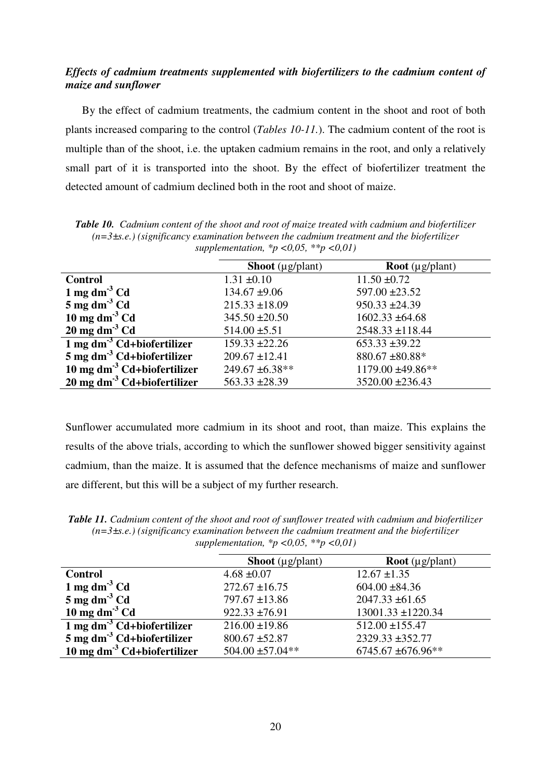# *Effects of cadmium treatments supplemented with biofertilizers to the cadmium content of maize and sunflower*

By the effect of cadmium treatments, the cadmium content in the shoot and root of both plants increased comparing to the control (*Tables 10-11.*). The cadmium content of the root is multiple than of the shoot, i.e. the uptaken cadmium remains in the root, and only a relatively small part of it is transported into the shoot. By the effect of biofertilizer treatment the detected amount of cadmium declined both in the root and shoot of maize.

*Table 10. Cadmium content of the shoot and root of maize treated with cadmium and biofertilizer (n=3±s.e.) (significancy examination between the cadmium treatment and the biofertilizer supplementation, \*p <0,05, \*\*p <0,01)* 

|                                       | <b>Shoot</b> ( $\mu$ g/plant) | <b>Root</b> ( $\mu$ g/plant) |
|---------------------------------------|-------------------------------|------------------------------|
| <b>Control</b>                        | $1.31 \pm 0.10$               | $11.50 \pm 0.72$             |
| 1 mg dm <sup>-3</sup> Cd              | $134.67 \pm 9.06$             | $597.00 \pm 23.52$           |
| $5 \text{ mg dm}^3 \text{Cd}$         | $215.33 \pm 18.09$            | $950.33 \pm 24.39$           |
| 10 mg dm <sup>-3</sup> Cd             | $345.50 \pm 20.50$            | $1602.33 \pm 64.68$          |
| $20 \text{ mg dm}^3 \text{Cd}$        | $514.00 \pm 5.51$             | $2548.33 \pm 118.44$         |
| 1 mg $\text{dm}^3$ Cd+biofertilizer   | $159.33 \pm 22.26$            | $653.33 \pm 39.22$           |
| $5 \text{ mg dm}^3$ Cd+biofertilizer  | $209.67 \pm 12.41$            | $880.67 \pm 80.88*$          |
| 10 mg $\text{dm}^3$ Cd+biofertilizer  | 249.67 ±6.38**                | 1179.00 ±49.86**             |
| $20 \text{ mg dm}^3$ Cd+biofertilizer | $563.33 \pm 28.39$            | $3520.00 \pm 236.43$         |

Sunflower accumulated more cadmium in its shoot and root, than maize. This explains the results of the above trials, according to which the sunflower showed bigger sensitivity against cadmium, than the maize. It is assumed that the defence mechanisms of maize and sunflower are different, but this will be a subject of my further research.

*Table 11. Cadmium content of the shoot and root of sunflower treated with cadmium and biofertilizer (n=3±s.e.) (significancy examination between the cadmium treatment and the biofertilizer supplementation, \*p <0,05, \*\*p <0,01)* 

|                                         | <b>Shoot</b> ( $\mu$ g/plant) | <b>Root</b> ( $\mu$ g/plant) |
|-----------------------------------------|-------------------------------|------------------------------|
| <b>Control</b>                          | $4.68 \pm 0.07$               | $12.67 \pm 1.35$             |
| 1 mg dm <sup>-3</sup> Cd                | $272.67 \pm 16.75$            | $604.00 \pm 84.36$           |
| $5 \text{ mg dm}^3 \text{Cd}$           | $797.67 \pm 13.86$            | $2047.33 \pm 61.65$          |
| 10 mg dm <sup>-3</sup> Cd               | $922.33 \pm 76.91$            | $13001.33 \pm 1220.34$       |
| $1 \text{ mg dm}^3$ Cd+biofertilizer    | $216.00 \pm 19.86$            | $512.00 \pm 155.47$          |
| $5 \text{ mg dm}^3$ Cd+biofertilizer    | $800.67 \pm 52.87$            | 2329.33 ±352.77              |
| 10 mg dm <sup>-3</sup> Cd+biofertilizer | $504.00 \pm 57.04**$          | 6745.67 ±676.96**            |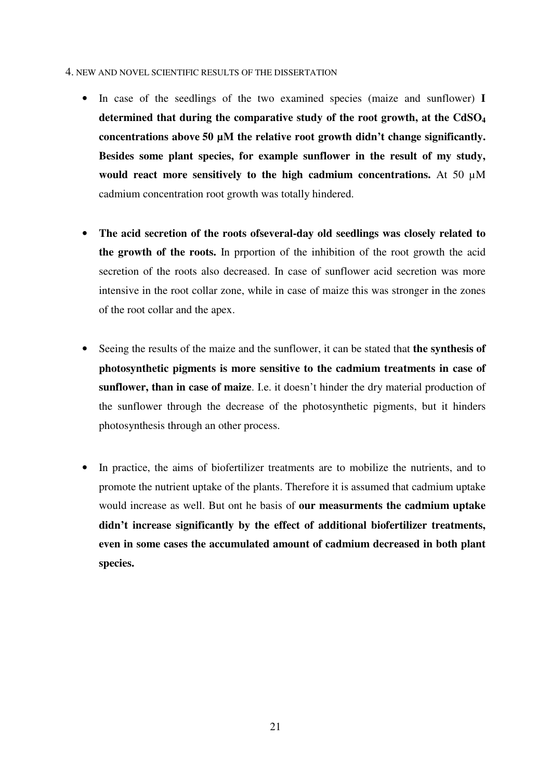#### 4. NEW AND NOVEL SCIENTIFIC RESULTS OF THE DISSERTATION

- In case of the seedlings of the two examined species (maize and sunflower) **I determined that during the comparative study of the root growth, at the CdSO<sup>4</sup> concentrations above 50 µM the relative root growth didn't change significantly. Besides some plant species, for example sunflower in the result of my study, would react more sensitively to the high cadmium concentrations.** At 50 µM cadmium concentration root growth was totally hindered.
- **The acid secretion of the roots ofseveral-day old seedlings was closely related to the growth of the roots.** In prportion of the inhibition of the root growth the acid secretion of the roots also decreased. In case of sunflower acid secretion was more intensive in the root collar zone, while in case of maize this was stronger in the zones of the root collar and the apex.
- Seeing the results of the maize and the sunflower, it can be stated that **the synthesis of photosynthetic pigments is more sensitive to the cadmium treatments in case of sunflower, than in case of maize**. I.e. it doesn't hinder the dry material production of the sunflower through the decrease of the photosynthetic pigments, but it hinders photosynthesis through an other process.
- In practice, the aims of biofertilizer treatments are to mobilize the nutrients, and to promote the nutrient uptake of the plants. Therefore it is assumed that cadmium uptake would increase as well. But ont he basis of **our measurments the cadmium uptake didn't increase significantly by the effect of additional biofertilizer treatments, even in some cases the accumulated amount of cadmium decreased in both plant species.**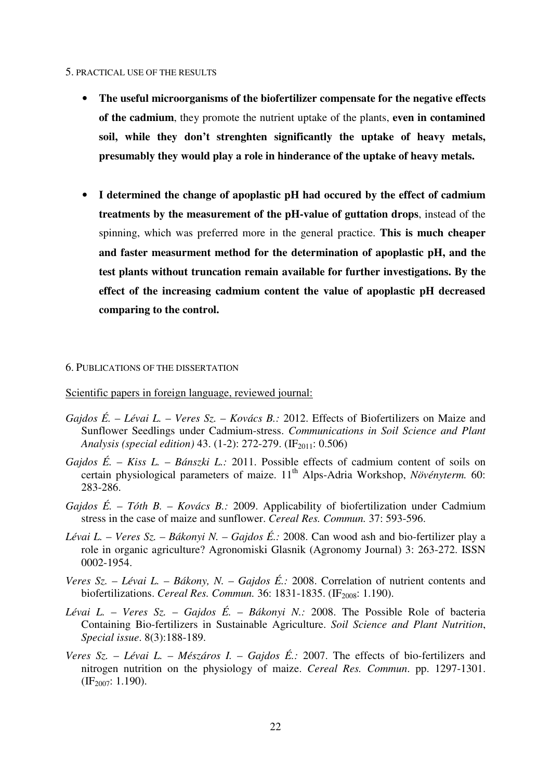### 5. PRACTICAL USE OF THE RESULTS

- **The useful microorganisms of the biofertilizer compensate for the negative effects of the cadmium**, they promote the nutrient uptake of the plants, **even in contamined soil, while they don't strenghten significantly the uptake of heavy metals, presumably they would play a role in hinderance of the uptake of heavy metals.**
- **I determined the change of apoplastic pH had occured by the effect of cadmium treatments by the measurement of the pH-value of guttation drops**, instead of the spinning, which was preferred more in the general practice. **This is much cheaper and faster measurment method for the determination of apoplastic pH, and the test plants without truncation remain available for further investigations. By the effect of the increasing cadmium content the value of apoplastic pH decreased comparing to the control.**

## 6. PUBLICATIONS OF THE DISSERTATION

Scientific papers in foreign language, reviewed journal:

- *Gajdos É. Lévai L.* – *Veres Sz.* – *Kovács B.:* 2012. Effects of Biofertilizers on Maize and Sunflower Seedlings under Cadmium-stress. *Communications in Soil Science and Plant Analysis (special edition)* 43. (1-2): 272-279. (IF<sub>2011</sub>: 0.506)
- *Gajdos É.* – *Kiss L.* – *Bánszki L.:* 2011. Possible effects of cadmium content of soils on certain physiological parameters of maize. 11<sup>th</sup> Alps-Adria Workshop, *Növényterm.* 60: 283-286.
- *Gajdos É.* – *Tóth B.* – *Kovács B.:* 2009. Applicability of biofertilization under Cadmium stress in the case of maize and sunflower. *Cereal Res. Commun.* 37: 593-596.
- *Lévai L.* – *Veres Sz.* – *Bákonyi N.* – *Gajdos É.:* 2008. Can wood ash and bio-fertilizer play a role in organic agriculture? Agronomiski Glasnik (Agronomy Journal) 3: 263-272. ISSN 0002-1954.
- *Veres Sz.* – *Lévai L.* – *Bákony, N.* – *Gajdos É.:* 2008. Correlation of nutrient contents and biofertilizations. *Cereal Res. Commun.* 36: 1831-1835. (IF<sub>2008</sub>: 1.190).
- *Lévai L.* – *Veres Sz.* – *Gajdos É.* – *Bákonyi N.:* 2008. The Possible Role of bacteria Containing Bio-fertilizers in Sustainable Agriculture. *Soil Science and Plant Nutrition*, *Special issue*. 8(3):188-189.
- *Veres Sz.* – *Lévai L.* – *Mészáros I.* – *Gajdos É.:* 2007. The effects of bio-fertilizers and nitrogen nutrition on the physiology of maize. *Cereal Res. Commun*. pp. 1297-1301.  $(E_{2007}: 1.190)$ .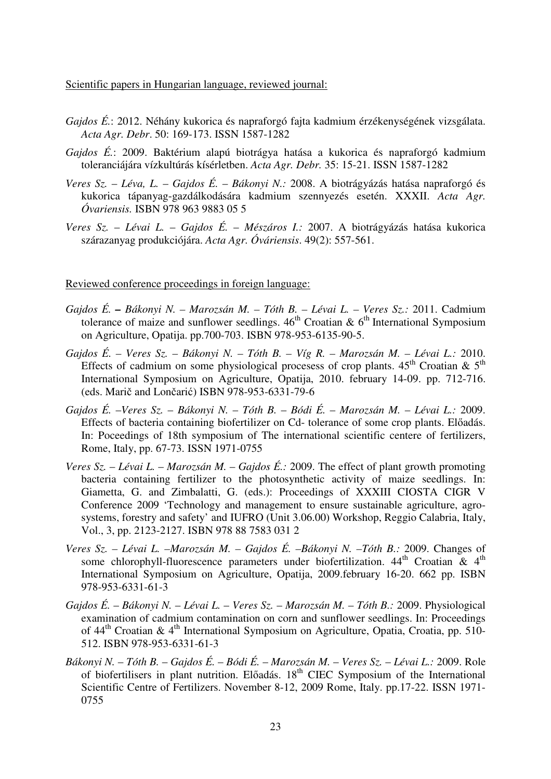Scientific papers in Hungarian language, reviewed journal:

- *Gajdos É.*: 2012. Néhány kukorica és napraforgó fajta kadmium érzékenységének vizsgálata. *Acta Agr. Debr*. 50: 169-173. ISSN 1587-1282
- *Gajdos É.*: 2009. Baktérium alapú biotrágya hatása a kukorica és napraforgó kadmium toleranciájára vízkultúrás kísérletben. *Acta Agr. Debr.* 35: 15-21. ISSN 1587-1282
- *Veres Sz. Léva, L.* – *Gajdos É.* – *Bákonyi N.:* 2008. A biotrágyázás hatása napraforgó és kukorica tápanyag-gazdálkodására kadmium szennyezés esetén. XXXII. *Acta Agr. Óvariensis.* ISBN 978 963 9883 05 5
- *Veres Sz. Lévai L. Gajdos É.* – *Mészáros I.:* 2007. A biotrágyázás hatása kukorica szárazanyag produkciójára. *Acta Agr. Óváriensis*. 49(2): 557-561.

## Reviewed conference proceedings in foreign language:

- *Gajdos É. Bákonyi N. Marozsán M. Tóth B. Lévai L. Veres Sz.:* 2011. Cadmium tolerance of maize and sunflower seedlings.  $46<sup>th</sup>$  Croatian &  $6<sup>th</sup>$  International Symposium on Agriculture, Opatija. pp.700-703. ISBN 978-953-6135-90-5.
- *Gajdos É. Veres Sz. Bákonyi N. Tóth B. Víg R. Marozsán M. Lévai L.:* 2010. Effects of cadmium on some physiological procesess of crop plants.  $45<sup>th</sup>$  Croatian &  $5<sup>th</sup>$ International Symposium on Agriculture, Opatija, 2010. february 14-09. pp. 712-716. (eds. Marič and Lončarić) ISBN 978-953-6331-79-6
- *Gajdos É.* –*Veres Sz.* – *Bákonyi N. Tóth B.* – *Bódi É.* – *Marozsán M.* – *Lévai L.:* 2009. Effects of bacteria containing biofertilizer on Cd- tolerance of some crop plants. Előadás. In: Poceedings of 18th symposium of The international scientific centere of fertilizers, Rome, Italy, pp. 67-73. ISSN 1971-0755
- *Veres Sz.* – *Lévai L.* – *Marozsán M.* – *Gajdos É.:* 2009. The effect of plant growth promoting bacteria containing fertilizer to the photosynthetic activity of maize seedlings. In: Giametta, G. and Zimbalatti, G. (eds.): Proceedings of XXXIII CIOSTA CIGR V Conference 2009 'Technology and management to ensure sustainable agriculture, agrosystems, forestry and safety' and IUFRO (Unit 3.06.00) Workshop, Reggio Calabria, Italy, Vol., 3, pp. 2123-2127. ISBN 978 88 7583 031 2
- *Veres Sz. Lévai L. –Marozsán M. Gajdos É. –Bákonyi N. –Tóth B.:* 2009. Changes of some chlorophyll-fluorescence parameters under biofertilization. 44<sup>th</sup> Croatian & 4<sup>th</sup> International Symposium on Agriculture, Opatija, 2009.february 16-20. 662 pp. ISBN 978-953-6331-61-3
- *Gajdos É.* – *Bákonyi N.* – *Lévai L.* – *Veres Sz.* – *Marozsán M.* – *Tóth B.:* 2009. Physiological examination of cadmium contamination on corn and sunflower seedlings. In: Proceedings of  $44<sup>th</sup>$  Croatian &  $4<sup>th</sup>$  International Symposium on Agriculture, Opatia, Croatia, pp. 510-512. ISBN 978-953-6331-61-3
- *Bákonyi N.* – *Tóth B.* – *Gajdos É.* – *Bódi É.* – *Marozsán M.* – *Veres Sz.* – *Lévai L.:* 2009. Role of biofertilisers in plant nutrition. Előadás. 18<sup>th</sup> CIEC Symposium of the International Scientific Centre of Fertilizers. November 8-12, 2009 Rome, Italy. pp.17-22. ISSN 1971- 0755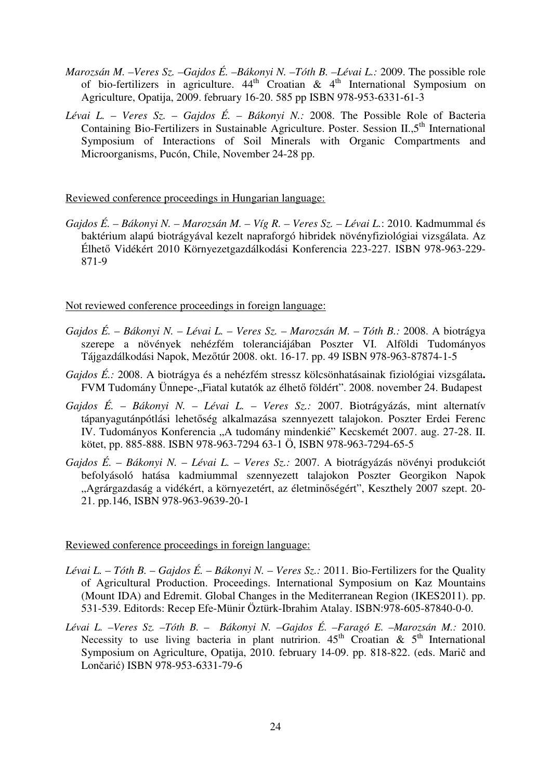- *Marozsán M. –Veres Sz. –Gajdos É. –Bákonyi N. –Tóth B. –Lévai L.:* 2009. The possible role of bio-fertilizers in agriculture.  $44<sup>th</sup>$  Croatian &  $4<sup>th</sup>$  International Symposium on Agriculture, Opatija, 2009. february 16-20. 585 pp ISBN 978-953-6331-61-3
- *Lévai L.* – *Veres Sz.* – *Gajdos É.* – *Bákonyi N.:* 2008. The Possible Role of Bacteria Containing Bio-Fertilizers in Sustainable Agriculture. Poster. Session II.,5<sup>th</sup> International Symposium of Interactions of Soil Minerals with Organic Compartments and Microorganisms, Pucón, Chile, November 24-28 pp.

# Reviewed conference proceedings in Hungarian language:

*Gajdos É. – Bákonyi N. – Marozsán M. – Víg R. – Veres Sz. – Lévai L.*: 2010. Kadmummal és baktérium alapú biotrágyával kezelt napraforgó hibridek növényfiziológiai vizsgálata. Az Élhető Vidékért 2010 Környezetgazdálkodási Konferencia 223-227. ISBN 978-963-229- 871-9

Not reviewed conference proceedings in foreign language:

- *Gajdos É.* – *Bákonyi N.* – *Lévai L.* – *Veres Sz.* – *Marozsán M.* – *Tóth B.:* 2008. A biotrágya szerepe a növények nehézfém toleranciájában Poszter VI. Alföldi Tudományos Tájgazdálkodási Napok, Mezőtúr 2008. okt. 16-17. pp. 49 ISBN 978-963-87874-1-5
- *Gajdos É.:* 2008. A biotrágya és a nehézfém stressz kölcsönhatásainak fiziológiai vizsgálata**.**  FVM Tudomány Ünnepe-"Fiatal kutatók az élhető földért". 2008. november 24. Budapest
- *Gajdos É.* – *Bákonyi N.* – *Lévai L.* – *Veres Sz.:* 2007. Biotrágyázás, mint alternatív tápanyagutánpótlási lehetőség alkalmazása szennyezett talajokon. Poszter Erdei Ferenc IV. Tudományos Konferencia "A tudomány mindenkié" Kecskemét 2007. aug. 27-28. II. kötet, pp. 885-888. ISBN 978-963-7294 63-1 Ö, ISBN 978-963-7294-65-5
- *Gajdos É.* – *Bákonyi N.* – *Lévai L.* – *Veres Sz.:* 2007. A biotrágyázás növényi produkciót befolyásoló hatása kadmiummal szennyezett talajokon Poszter Georgikon Napok "Agrárgazdaság a vidékért, a környezetért, az életminőségért", Keszthely 2007 szept. 20-21. pp.146, ISBN 978-963-9639-20-1

# Reviewed conference proceedings in foreign language:

- *Lévai L. Tóth B.* – *Gajdos É.* – *Bákonyi N.* – *Veres Sz.:* 2011. Bio-Fertilizers for the Quality of Agricultural Production. Proceedings. International Symposium on Kaz Mountains (Mount IDA) and Edremit. Global Changes in the Mediterranean Region (IKES2011). pp. 531-539. Editords: Recep Efe-Münir Öztürk-Ibrahim Atalay. ISBN:978-605-87840-0-0.
- *Lévai L. –Veres Sz. –Tóth B. – Bákonyi N. –Gajdos É. –Faragó E. –Marozsán M.:* 2010. Necessity to use living bacteria in plant nutririon.  $45<sup>th</sup>$  Croatian &  $5<sup>th</sup>$  International Symposium on Agriculture, Opatija, 2010. february 14-09. pp. 818-822. (eds. Marič and Lončarić) ISBN 978-953-6331-79-6